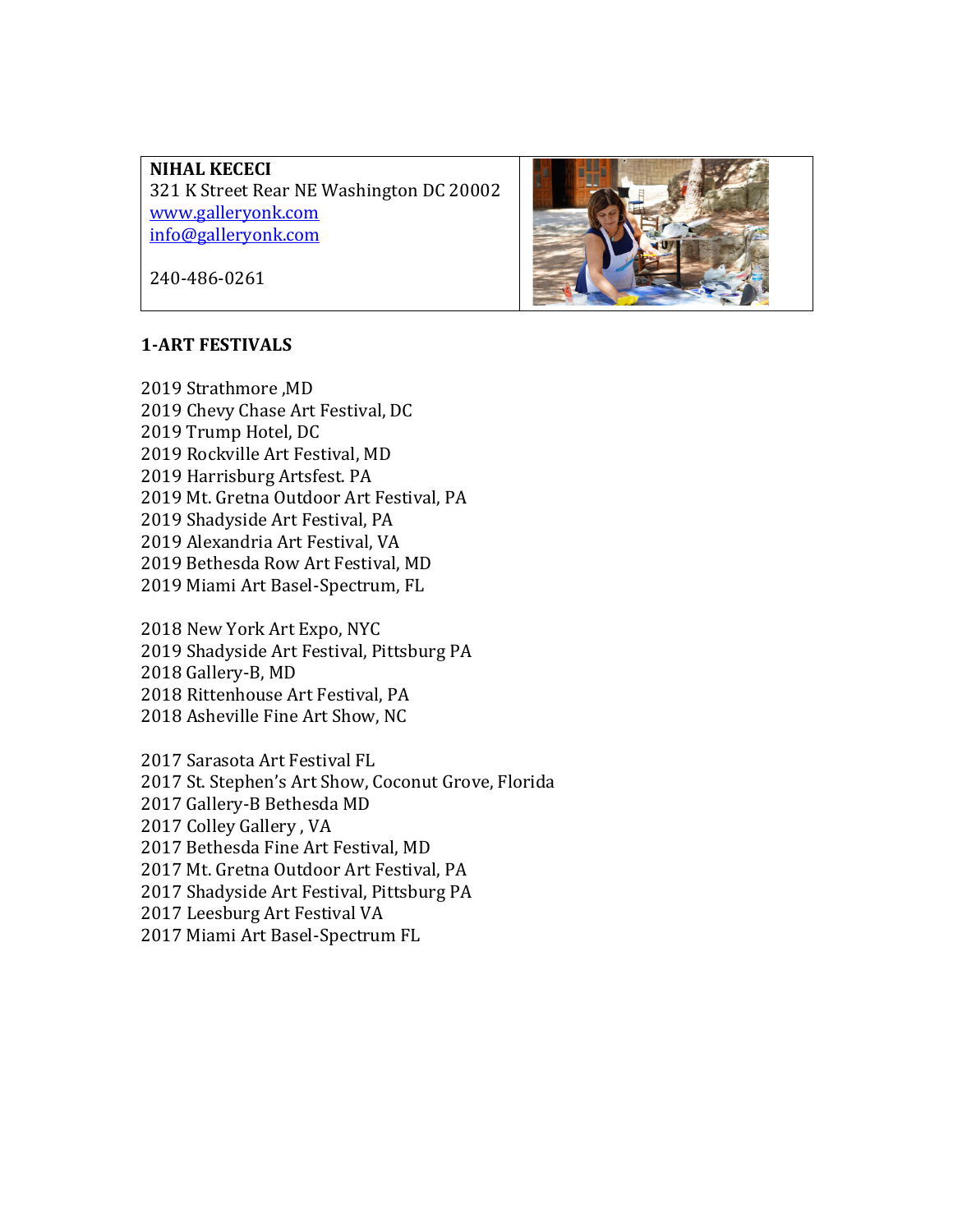**NIHAL KECECI** 321 K Street Rear NE Washington DC 20002 www.galleryonk.com info@galleryonk.com



240-486-0261

#### **1-ART FESTIVALS**

2019 Strathmore .MD 2019 Chevy Chase Art Festival, DC 2019 Trump Hotel, DC 2019 Rockville Art Festival, MD 2019 Harrisburg Artsfest. PA 2019 Mt. Gretna Outdoor Art Festival, PA 2019 Shadyside Art Festival, PA 2019 Alexandria Art Festival, VA 2019 Bethesda Row Art Festival, MD 2019 Miami Art Basel-Spectrum, FL

2018 New York Art Expo, NYC 2019 Shadyside Art Festival, Pittsburg PA 2018 Gallery-B, MD 2018 Rittenhouse Art Festival, PA 2018 Asheville Fine Art Show, NC

2017 Sarasota Art Festival FL 2017 St. Stephen's Art Show, Coconut Grove, Florida 2017 Gallery-B Bethesda MD 2017 Colley Gallery, VA 2017 Bethesda Fine Art Festival, MD 2017 Mt. Gretna Outdoor Art Festival, PA 2017 Shadyside Art Festival, Pittsburg PA 2017 Leesburg Art Festival VA 2017 Miami Art Basel-Spectrum FL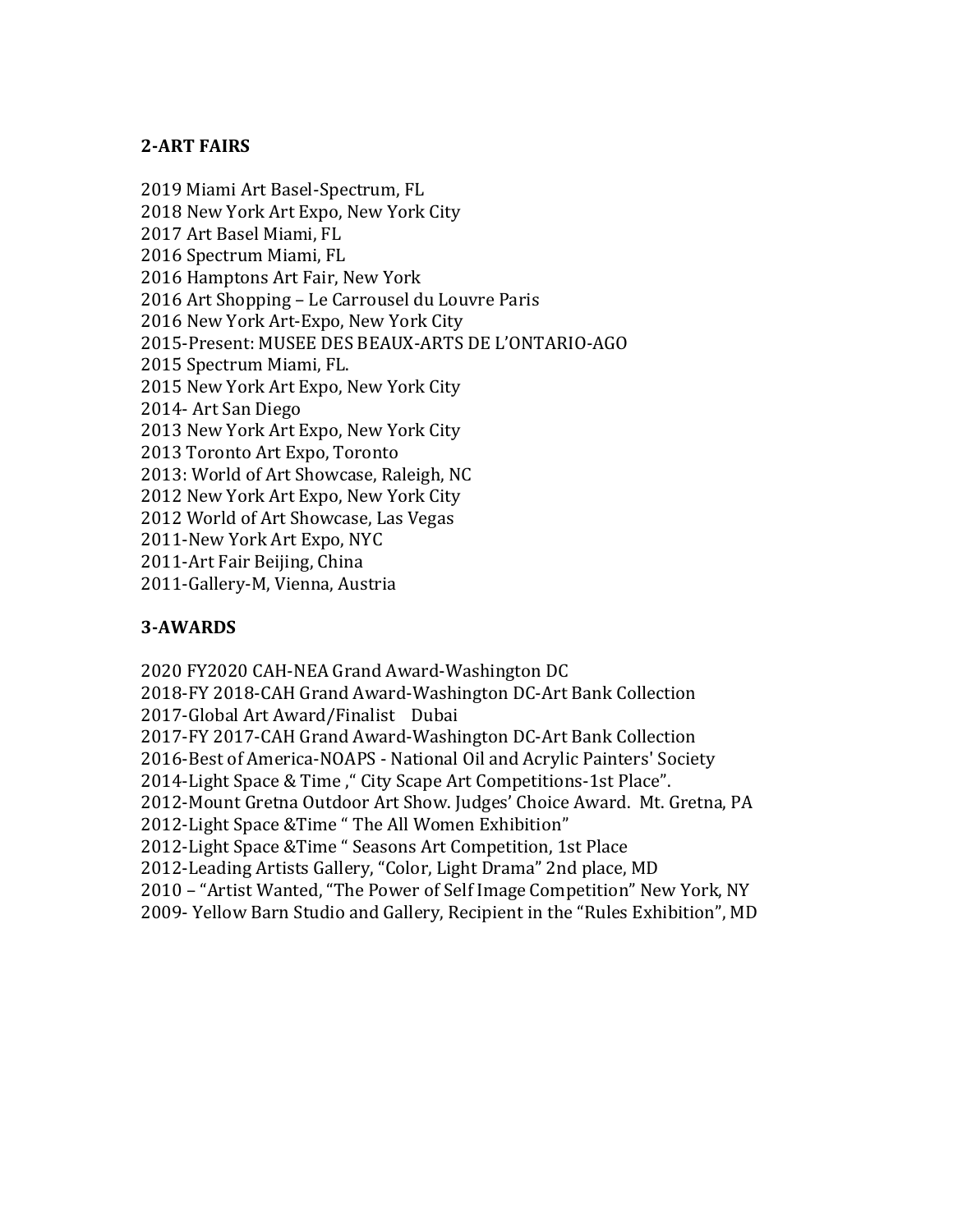# **2-ART FAIRS**

2019 Miami Art Basel-Spectrum, FL 2018 New York Art Expo, New York City 2017 Art Basel Miami, FL 2016 Spectrum Miami, FL 2016 Hamptons Art Fair, New York 2016 Art Shopping - Le Carrousel du Louvre Paris 2016 New York Art-Expo, New York City 2015-Present: MUSEE DES BEAUX-ARTS DE L'ONTARIO-AGO 2015 Spectrum Miami, FL. 2015 New York Art Expo, New York City 2014- Art San Diego 2013 New York Art Expo, New York City 2013 Toronto Art Expo, Toronto 2013: World of Art Showcase, Raleigh, NC 2012 New York Art Expo, New York City 2012 World of Art Showcase, Las Vegas 2011-New York Art Expo, NYC 2011-Art Fair Beijing, China 2011-Gallery-M, Vienna, Austria

# **3-AWARDS**

2020 FY2020 CAH-NEA Grand Award-Washington DC 2018-FY 2018-CAH Grand Award-Washington DC-Art Bank Collection 2017-Global Art Award/Finalist Dubai 2017-FY 2017-CAH Grand Award-Washington DC-Art Bank Collection 2016-Best of America-NOAPS - National Oil and Acrylic Painters' Society 2014-Light Space & Time," City Scape Art Competitions-1st Place". 2012-Mount Gretna Outdoor Art Show. Judges' Choice Award. Mt. Gretna, PA 2012-Light Space &Time " The All Women Exhibition" 2012-Light Space &Time " Seasons Art Competition, 1st Place 2012-Leading Artists Gallery, "Color, Light Drama" 2nd place, MD 2010 - "Artist Wanted, "The Power of Self Image Competition" New York, NY 2009- Yellow Barn Studio and Gallery, Recipient in the "Rules Exhibition", MD